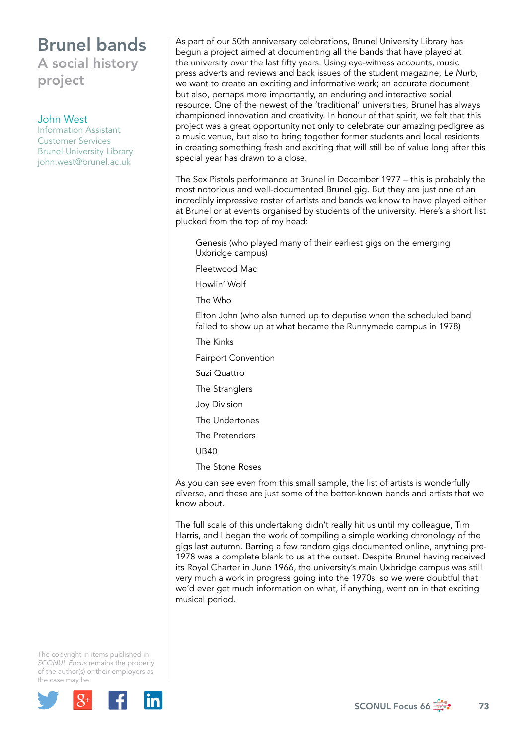## Brunel bands A social history project

### John West

Information Assistant Customer Services Brunel University Library [john.west@brunel.ac.uk](mailto:john.west@brunel.ac.uk)

As part of our 50th anniversary celebrations, Brunel University Library has begun a project aimed at documenting all the bands that have played at the university over the last fifty years. Using eye-witness accounts, music press adverts and reviews and back issues of the student magazine, *Le Nurb*, we want to create an exciting and informative work; an accurate document but also, perhaps more importantly, an enduring and interactive social resource. One of the newest of the 'traditional' universities, Brunel has always championed innovation and creativity. In honour of that spirit, we felt that this project was a great opportunity not only to celebrate our amazing pedigree as a music venue, but also to bring together former students and local residents in creating something fresh and exciting that will still be of value long after this special year has drawn to a close.

The Sex Pistols performance at Brunel in December 1977 – this is probably the most notorious and well-documented Brunel gig. But they are just one of an incredibly impressive roster of artists and bands we know to have played either at Brunel or at events organised by students of the university. Here's a short list plucked from the top of my head:

Genesis (who played many of their earliest gigs on the emerging Uxbridge campus)

Fleetwood Mac

Howlin' Wolf

The Who

Elton John (who also turned up to deputise when the scheduled band failed to show up at what became the Runnymede campus in 1978)

The Kinks

Fairport Convention

- Suzi Quattro
- The Stranglers
- Joy Division
- The Undertones
- The Pretenders
- UB40
- The Stone Roses

As you can see even from this small sample, the list of artists is wonderfully diverse, and these are just some of the better-known bands and artists that we know about.

The full scale of this undertaking didn't really hit us until my colleague, Tim Harris, and I began the work of compiling a simple working chronology of the gigs last autumn. Barring a few random gigs documented online, anything pre-1978 was a complete blank to us at the outset. Despite Brunel having received its Royal Charter in June 1966, the university's main Uxbridge campus was still very much a work in progress going into the 1970s, so we were doubtful that we'd ever get much information on what, if anything, went on in that exciting musical period.

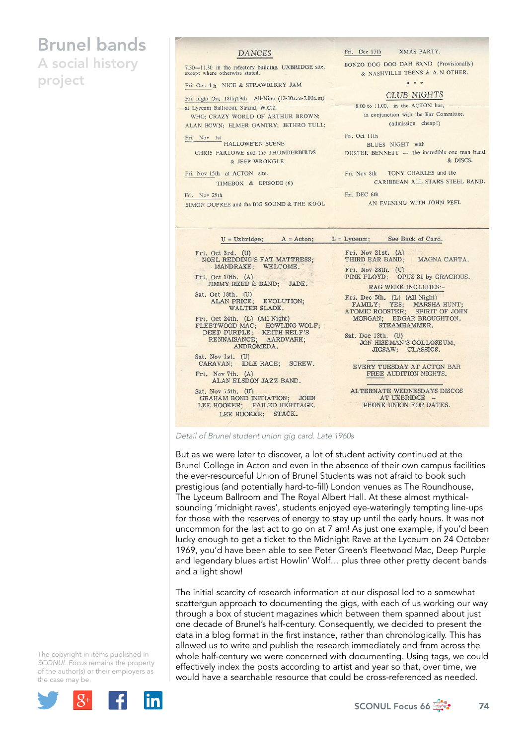## Brunel bands

A social history project

#### **DANCES**

7.30-11.30 in the refectory building, UXBRIDGE site, except where otherwise stated.

Fri. Oct. 4th NICE & STRAWBERRY JAM

Fri. night Oct. 18th/19th All-Niter (12-30a.m-7.00a.m) at Lyceum Ballroom, Strand, W.C.2.

WHO: CRAZY WORLD OF ARTHUR BROWN; ALAN ROWN- FLMER GANTRY- JETHRO TULL:

Fri. Nov 1st HALLOWE'EN SCENE CHRIS FARLOWE and the THUNDERBIRDS & JEEP WRONGLE

Fri. Nov 15th at ACTON site. TIMEBOX & EPISODE (6)

Fri. Nov 29th SIMON DUPREE and the BIG SOUND & THE KOOL Fri. Dec 13th **YMAS PARTY** 

BONZO DOG DOO DAH BAND (Provisionally) & NASHVILLE TEENS & A. N. OTHER.

 $\dddot{\bullet}$ 

**CLUB NIGHTS** 

8.00 to 11.00, in the ACTON bar, in conjunction with the Bar Committee. (admission cheap!)

Fri. Oct 11th BLUES NIGHT with DUSTER BENNETT - the incredible one man band & DISCS.

Fri. Nov 8th TONY CHARLES and the CARIBBEAN ALL STARS STEEL BAND.

Fri. DEC 6th AN EVENING WITH JOHN PEEL

|                                                                                                                                    | $U = U$ xbridge; $A = Acton$ ; $L = Lyceum$ ; See Back of Card.                                                                     |
|------------------------------------------------------------------------------------------------------------------------------------|-------------------------------------------------------------------------------------------------------------------------------------|
| Fri. Oct 3rd. (U)<br><b>NOEL REDDING'S FAT MATTRESS;</b><br>MANDRAKE; WELCOME.<br>Fri. Oct 10th. $(A)$<br>JIMMY REED & BAND; JADE. | Fri. Nov 21st. (A)<br>THIRD EAR BAND; MAGNA CARTA.<br>Fri. Nov 28th. (U)<br>PINK FLOYD; OPUS 31 by GRACIOUS.<br>RAG WEEK INCLUDES:- |
| Sat. Oct 18th. (U)<br>ALAN PRICE; EVOLUTION;<br>WALTER SLADE.<br>Fri. Oct 24th. (L) (All Night)                                    | Fri. Dec 5th. (L) (All Night)<br>FAMILY; YES; MARSHA HUNT;<br>ATOMIC ROOSTER; SPIRIT OF JOHN<br>MORGAN; EDGAR BROUGHTON.            |
| FLEETWOOD MAC; HOWLING WOLF;<br>DEEP PURPLE; KEITH RELF'S<br>RENNAISANCE; AARDVARK;<br>ANDROMEDA.                                  | STEAMHAMMER.<br>Sat. Dec 13th. (U)<br>JON HISEMAN'S COLLOSEUM;<br>JIGSAW; CLASSICS.                                                 |
| Sat. Nov 1st. (U)<br>CARAVAN; IDLE RACE; SCREW.<br>Fri. Nov 7th. (A)<br>ALAN ELSDON JAZZ BAND.                                     | EVERY TUESDAY AT ACTON BAR<br>FREE AUDITION NIGHTS.                                                                                 |
| Sat. Nov $i$ 5th. $(U)$<br>GRAHAM BOND INITIATION; JOHN<br>LEE HOOKER; FAILED HERITAGE.<br>LEE HOOKER; STACK.                      | ALTERNATE WEDNESDAYS DISCOS<br>AT UXBRIDGE<br>PHONE UNION FOR DATES.                                                                |

*Detail of Brunel student union gig card. Late 1960s*

But as we were later to discover, a lot of student activity continued at the Brunel College in Acton and even in the absence of their own campus facilities the ever-resourceful Union of Brunel Students was not afraid to book such prestigious (and potentially hard-to-fill) London venues as The Roundhouse, The Lyceum Ballroom and The Royal Albert Hall. At these almost mythicalsounding 'midnight raves', students enjoyed eye-wateringly tempting line-ups for those with the reserves of energy to stay up until the early hours. It was not uncommon for the last act to go on at 7 am! As just one example, if you'd been lucky enough to get a ticket to the Midnight Rave at the Lyceum on 24 October 1969, you'd have been able to see Peter Green's Fleetwood Mac, Deep Purple and legendary blues artist Howlin' Wolf… plus three other pretty decent bands and a light show!

The initial scarcity of research information at our disposal led to a somewhat scattergun approach to documenting the gigs, with each of us working our way through a box of student magazines which between them spanned about just one decade of Brunel's half-century. Consequently, we decided to present the data in a blog format in the first instance, rather than chronologically. This has allowed us to write and publish the research immediately and from across the whole half-century we were concerned with documenting. Using tags, we could effectively index the posts according to artist and year so that, over time, we would have a searchable resource that could be cross-referenced as needed.

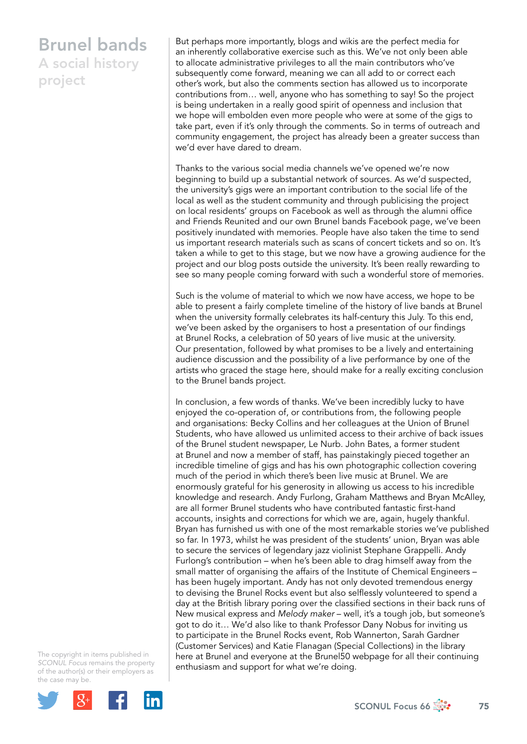### Brunel bands A social history project

But perhaps more importantly, blogs and wikis are the perfect media for an inherently collaborative exercise such as this. We've not only been able to allocate administrative privileges to all the main contributors who've subsequently come forward, meaning we can all add to or correct each other's work, but also the comments section has allowed us to incorporate contributions from… well, anyone who has something to say! So the project is being undertaken in a really good spirit of openness and inclusion that we hope will embolden even more people who were at some of the gigs to take part, even if it's only through the comments. So in terms of outreach and community engagement, the project has already been a greater success than we'd ever have dared to dream.

Thanks to the various social media channels we've opened we're now beginning to build up a substantial network of sources. As we'd suspected, the university's gigs were an important contribution to the social life of the local as well as the student community and through publicising the project on local residents' groups on Facebook as well as through the alumni office and Friends Reunited and our own Brunel bands Facebook page, we've been positively inundated with memories. People have also taken the time to send us important research materials such as scans of concert tickets and so on. It's taken a while to get to this stage, but we now have a growing audience for the project and our blog posts outside the university. It's been really rewarding to see so many people coming forward with such a wonderful store of memories.

Such is the volume of material to which we now have access, we hope to be able to present a fairly complete timeline of the history of live bands at Brunel when the university formally celebrates its half-century this July. To this end, we've been asked by the organisers to host a presentation of our findings at Brunel Rocks, a celebration of 50 years of live music at the university. Our presentation, followed by what promises to be a lively and entertaining audience discussion and the possibility of a live performance by one of the artists who graced the stage here, should make for a really exciting conclusion to the Brunel bands project.

In conclusion, a few words of thanks. We've been incredibly lucky to have enjoyed the co-operation of, or contributions from, the following people and organisations: Becky Collins and her colleagues at the Union of Brunel Students, who have allowed us unlimited access to their archive of back issues of the Brunel student newspaper, Le Nurb. John Bates, a former student at Brunel and now a member of staff, has painstakingly pieced together an incredible timeline of gigs and has his own photographic collection covering much of the period in which there's been live music at Brunel. We are enormously grateful for his generosity in allowing us access to his incredible knowledge and research. Andy Furlong, Graham Matthews and Bryan McAlley, are all former Brunel students who have contributed fantastic first-hand accounts, insights and corrections for which we are, again, hugely thankful. Bryan has furnished us with one of the most remarkable stories we've published so far. In 1973, whilst he was president of the students' union, Bryan was able to secure the services of legendary jazz violinist Stephane Grappelli. Andy Furlong's contribution – when he's been able to drag himself away from the small matter of organising the affairs of the Institute of Chemical Engineers – has been hugely important. Andy has not only devoted tremendous energy to devising the Brunel Rocks event but also selflessly volunteered to spend a day at the British library poring over the classified sections in their back runs of New musical express and *Melody maker* – well, it's a tough job, but someone's got to do it… We'd also like to thank Professor Dany Nobus for inviting us to participate in the Brunel Rocks event, Rob Wannerton, Sarah Gardner (Customer Services) and Katie Flanagan (Special Collections) in the library here at Brunel and everyone at the Brunel50 webpage for all their continuing enthusiasm and support for what we're doing.